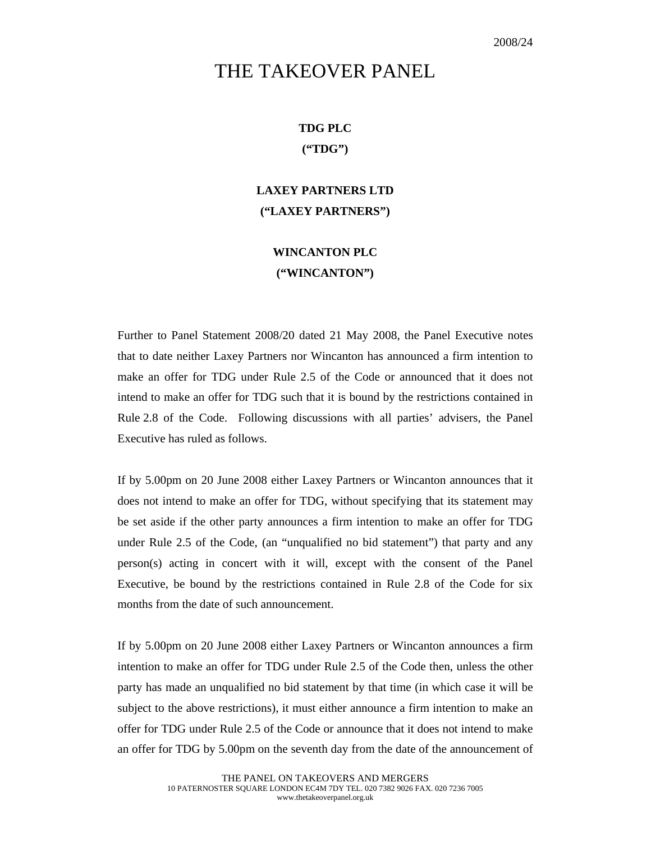## THE TAKEOVER PANEL

## **TDG PLC ("TDG")**

## **LAXEY PARTNERS LTD ("LAXEY PARTNERS")**

## **WINCANTON PLC ("WINCANTON")**

Further to Panel Statement 2008/20 dated 21 May 2008, the Panel Executive notes that to date neither Laxey Partners nor Wincanton has announced a firm intention to make an offer for TDG under Rule 2.5 of the Code or announced that it does not intend to make an offer for TDG such that it is bound by the restrictions contained in Rule 2.8 of the Code. Following discussions with all parties' advisers, the Panel Executive has ruled as follows.

If by 5.00pm on 20 June 2008 either Laxey Partners or Wincanton announces that it does not intend to make an offer for TDG, without specifying that its statement may be set aside if the other party announces a firm intention to make an offer for TDG under Rule 2.5 of the Code, (an "unqualified no bid statement") that party and any person(s) acting in concert with it will, except with the consent of the Panel Executive, be bound by the restrictions contained in Rule 2.8 of the Code for six months from the date of such announcement.

If by 5.00pm on 20 June 2008 either Laxey Partners or Wincanton announces a firm intention to make an offer for TDG under Rule 2.5 of the Code then, unless the other party has made an unqualified no bid statement by that time (in which case it will be subject to the above restrictions), it must either announce a firm intention to make an offer for TDG under Rule 2.5 of the Code or announce that it does not intend to make an offer for TDG by 5.00pm on the seventh day from the date of the announcement of